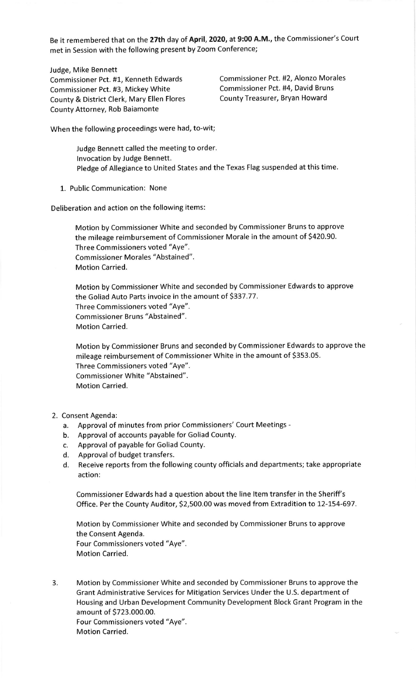Be it remembered that on the 27th day of April, 2020, at 9:00 A.M., the Commissioner's Court met in Session with the following present by Zoom Conference;

Judge, Mike Bennett

Commissioner Pct. #1, Kenneth Edwards Commissioner Pct. #2, Alonzo Morales<br>Commissioner Pct. #3. Mickey White Commissioner Pct. #4, David Bruns Commissioner Pct. #3, Mickey White Commissioner Pct. #4, David Brun<br>County & District Clerk. Mary Ellen Flores County Treasurer, Bryan Howard County & District Clerk, Mary Ellen Flores County Attorney, Rob Baiamonte

When the following proceedings were had, to-wit;

Judge Bennett called the meeting to order. lnvocation by Judge Bennett. Pledge of Allegiance to United States and the Texas Flag suspended at this time.

1. Public Communication: None

Deliberation and action on the following items:

Motion by Commissioner White and seconded by Commissioner Bruns to approve the mileage reimbursement of Commissioner Morale in the amount of \$420.90. Three Commissioners voted "Aye". Commissioner Morales "Abstained". Motion Carried.

Motion by Commissioner White and seconded by Commissioner Edwards to approve the Goliad Auto Parts invoice in the amount of \$337.77. Three Commissioners voted "Aye". Commissioner Bruns "Abstained". Motion Carried.

Motion by Commissioner Bruns and seconded by Commissioner Edwards to approve the mileage reimbursement of Commissioner White in the amount of 5353.05. Three Commissioners voted "Aye". Commissioner White "Abstained". Motion Carried.

- 2. Consent Agenda:
	- a. Approval of minutes from prior Commissioners'Court Meetings -
	- b. Approval of accounts payable for Goliad County.
	- c. Approval of payable for Goliad County.
	- d. Approval of budget transfers.
	- d. Receive reports from the following county officials and departments; take appropriate action:

Commissioner Edwards had a question about the line ltem transfer in the Sheriff's Office. Per the County Auditor, 52,500.00 was moved from Extradition to 12-L54-697.

Motion by Commissioner White and seconded by Commissioner Bruns to approve the Consent Agenda. Four Commissioners voted "Aye". Motion Carried.

3. Motion by Commissioner White and seconded by Commissioner Bruns to approve the Grant Administrative Services for Mitigation Services Under the U.S. department of Housing and Urban Development Community Development Block Grant Program in the amount of S723.000.00. Four Commissioners voted "Aye". Motion Carried.